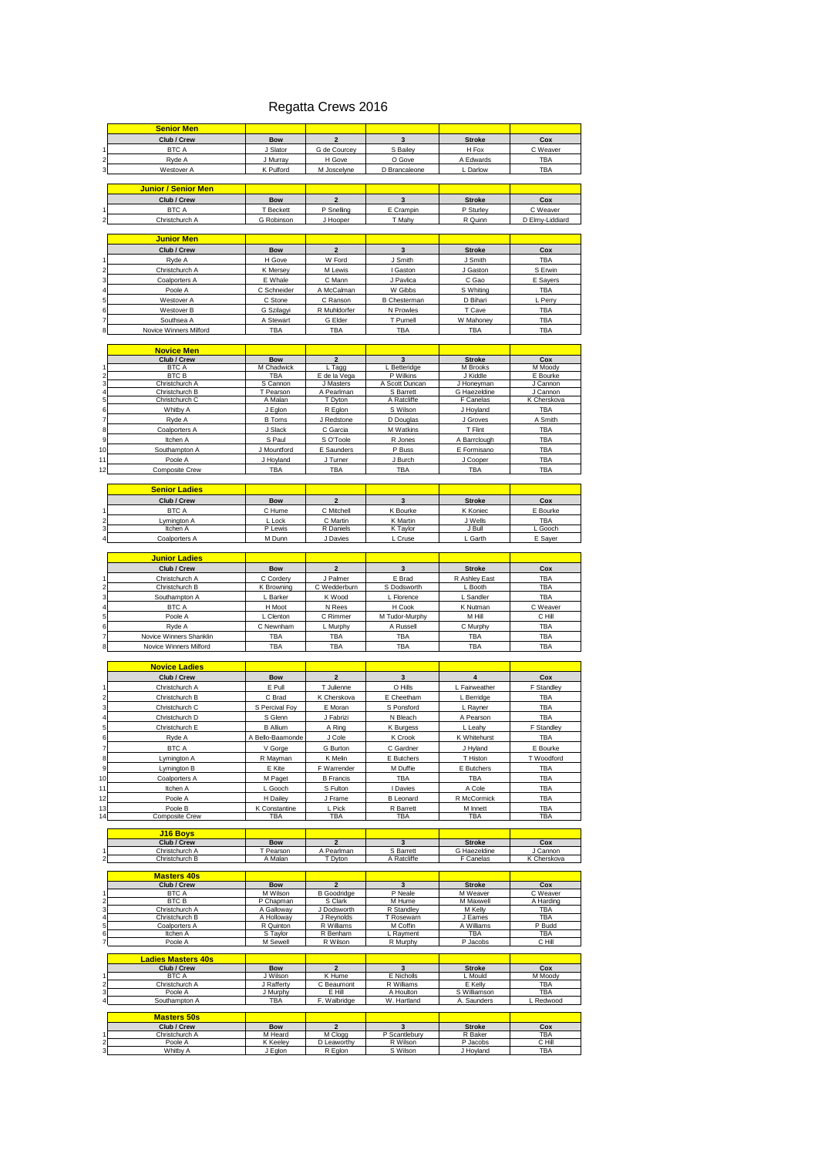#### Regatta Crews 2016

|                              | <b>Senior Men</b>                   |                         |                         |                                 |                         |                      |
|------------------------------|-------------------------------------|-------------------------|-------------------------|---------------------------------|-------------------------|----------------------|
|                              | Club / Crew                         | <b>Bow</b>              | $\overline{2}$          | $\overline{3}$                  | <b>Stroke</b>           | Cox                  |
| 1                            | <b>BTC A</b>                        | J Slator                | G de Courcey            | S Bailey                        | H Fox                   | C Weaver             |
| $\overline{\mathbf{c}}$      | Ryde A                              | J Murray                | H Gove                  | O Gove                          | A Edwards               | TBA                  |
| 3                            | Westover A                          | K Pulford               | M Joscelyne             | D Brancaleone                   | L Darlow                | TBA                  |
|                              |                                     |                         |                         |                                 |                         |                      |
|                              | Junior / Senior Men                 |                         |                         |                                 |                         |                      |
|                              |                                     |                         |                         |                                 |                         |                      |
|                              | Club / Crew                         | <b>Bow</b>              | $\mathbf 2$             | $\mathbf{3}$                    | <b>Stroke</b>           | Cox                  |
|                              | <b>BTC A</b>                        | T Beckett               | P Snelling              | E Crampin                       | P Sturley               | C Weaver             |
|                              | Christchurch A                      | G Robinson              | J Hooper                | T Mahy                          | R Quinn                 | D Elmy-Liddiard      |
|                              |                                     |                         |                         |                                 |                         |                      |
|                              | <mark>Junior Men</mark>             |                         |                         |                                 |                         |                      |
|                              | Club / Crew                         | <b>Bow</b>              | $\mathbf 2$             | $\mathbf{3}$                    | <b>Stroke</b>           | Cox                  |
| 1                            | Ryde A                              | H Gove                  | W Ford                  | J Smith                         | J Smith                 | TBA                  |
| $\overline{c}$               | Christchurch A                      | K Mersey                | M Lewis                 | I Gaston                        | J Gaston                | S Erwin              |
| 3                            | Coalporters A                       | E Whale                 | C Mann                  | J Pavlica                       | C Gao                   | E Sayers             |
| 4                            | Poole A                             | C Schneider             | A McCalman              | W Gibbs                         | S Whiting               | TBA                  |
| 5                            | Westover A                          | C Stone                 | C Ranson                | <b>B</b> Chestermar             | D Bihari                | L Perry              |
| 6                            | Westover B                          | G Szilagyi              | R Muhldorfer            | N Prowles                       | T Cave                  | TBA                  |
|                              |                                     |                         |                         |                                 |                         |                      |
| $\overline{7}$               | Southsea A                          | A Stewart               | G Elder                 | T Purnell                       | W Mahoney               | TBA                  |
| 8                            | <b>Novice Winners Milford</b>       | <b>TBA</b>              | TBA                     | TBA                             | <b>TBA</b>              | TBA                  |
|                              |                                     |                         |                         |                                 |                         |                      |
|                              | <u>Novice Men</u>                   |                         |                         |                                 |                         |                      |
|                              | Club / Crew                         | <b>Bow</b>              | $\overline{\mathbf{2}}$ | 3                               | <b>Stroke</b>           | Cox                  |
| 1<br>$\overline{2}$          | <b>BTC A</b><br><b>BTC B</b>        | M Chadwick<br>TBA       | L Tagg<br>E de la Vega  | L Betteridge<br>P Wilkins       | M Brooks<br>J Kiddle    | M Moody<br>E Bourke  |
| 3                            | Christchurch A                      | S Cannon                | J Masters               | A Scott Duncan                  | J Honeyman              | J Cannon             |
| 4                            | Christchurch B                      | T Pearson               | A Pearlmar              | S Barrett                       | G Haezeldine            | J Cannon             |
| 5                            |                                     | Mala                    | Dyto                    | A Ratcliff                      |                         | K Chersko            |
| 6                            | Whitby A                            | J Eglon                 | R Eglon                 | S Wilson                        | J Hoyland               | TBA                  |
| $\overline{7}$               | Ryde A                              | <b>B</b> Toms           | J Redstone              | D Douglas                       | J Groves                | A Smith              |
| 8                            | Coalporters A                       | J Slack                 | C Garcia                | M Watkins                       | T Flint                 | TBA                  |
| 9                            | Itchen A                            | S Paul                  | S O'Toole               | R Jones                         | A Barrclough            | TBA                  |
| 10                           | Southampton A                       | J Mountford             | E Saunders              | P Buss                          | E Formisano             | <b>TBA</b>           |
|                              |                                     | J Hoyland               |                         |                                 |                         |                      |
| 11                           | Poole A                             |                         | J Turner                | J Burch                         | J Cooper                | <b>TBA</b>           |
| 12                           | Composite Crew                      | TBA                     | TBA                     | TBA                             | TBA                     | TBA                  |
|                              |                                     |                         |                         |                                 |                         |                      |
|                              | <b>Senior Ladies</b>                |                         |                         |                                 |                         |                      |
|                              | Club / Crew                         | <b>Bow</b>              | $\mathbf 2$             | 3                               | <b>Stroke</b>           | Cox                  |
| 1                            | <b>BTC A</b>                        | C Hume                  | C Mitchell              | K Bourke                        | K Koniec                | E Bourke             |
| $\overline{\mathbf{c}}$      | Lymington A                         | L Lock                  | C Martin                | K Martin                        | J Wells                 | <b>TBA</b>           |
| 3                            | Itchen A                            | P Lewis                 | R Daniels               | K Taylor                        | J Bull                  | L Gooch              |
| $\overline{4}$               | Coalporters A                       | M Dunn                  | J Davies                | L Cruse                         | L Garth                 | E Sayer              |
|                              |                                     |                         |                         |                                 |                         |                      |
|                              | <u> Junior Ladies</u>               |                         |                         |                                 |                         |                      |
|                              | Club / Crew                         | <b>Bow</b>              | $\overline{\mathbf{c}}$ | $\mathbf{3}$                    | <b>Stroke</b>           | Cox                  |
| 1                            | Christchurch A                      | C Cordery               | J Palmer                | E Brad                          | R Ashley East           | TBA                  |
| $\overline{c}$               | Christchurch B                      | K Browning              | C Wedderburn            | S Dodsworth                     | L Booth                 | TBA                  |
| 3                            | Southampton A                       | L Barker                | K Wood                  | L Florence                      | L Sandler               | TBA                  |
| 4                            | <b>BTC A</b>                        | H Moot                  | N Rees                  | H Cook                          | K Nutman                | C Weaver             |
| 5                            | Poole A                             | L Clenton               | C Rimmer                | M Tudor-Murphy                  | M Hill                  | C Hill               |
| 6                            | Ryde A                              | C Newnham               | L Murphy                | A Russell                       | C Murphy                | TBA                  |
| 7                            |                                     |                         |                         |                                 |                         |                      |
| 8                            | Novice Winners Shanklin             | TBA                     | TBA                     | TBA                             | TBA                     | TBA                  |
|                              | Novice Winners Milford              | TBA                     | TBA                     | TBA                             | TBA                     | TBA                  |
|                              |                                     |                         |                         |                                 |                         |                      |
|                              |                                     |                         |                         |                                 |                         |                      |
|                              | <b>Novice Ladies</b>                |                         |                         |                                 |                         |                      |
|                              | Club / Crew                         | <b>Bow</b>              | $\mathbf 2$             | $\mathbf{3}$                    | $\overline{\mathbf{4}}$ | Cox                  |
| 1                            | Christchurch A                      | E Pull                  | T Julienne              | O Hills                         | L Fairweather           | F Standley           |
| $\overline{\mathbf{c}}$      | Christchurch B                      | C Brad                  | K Cherskova             | E Cheetham                      | L Berridge              | TBA                  |
| 3                            | Christchurch C                      | S Percival Foy          | E Moran                 | S Ponsford                      | L Rayner                | <b>TBA</b>           |
| 4                            | Christchurch D                      | S Glenn                 | J Fabrizi               | N Bleach                        | A Pearson               | TBA                  |
| 5                            | Christchurch E                      | <b>B</b> Allium         | A Ring                  | K Burgess                       | L Leahy                 | F Standley           |
| 6                            | Ryde A                              | A Bello-Baamonde        | J Cole                  | K Crook                         | K Whitehurst            | TBA                  |
|                              | <b>BTC A</b>                        | V Gorge                 | G Burton                | C Gardner                       | J Hyland                | E Bourke             |
| $\overline{7}$               |                                     |                         |                         | E Butchers                      |                         |                      |
| 8<br>9                       | Lymington A<br>Lymington B          | R Mayman                | K Melin                 |                                 | T Histon                | T Woodford           |
|                              |                                     | E Kite                  | F Warrender             | M Duffie                        | E Butchers              | TBA                  |
|                              | Coalporters A                       | M Paget                 | <b>B</b> Francis        | TBA                             | TBA                     | TBA                  |
|                              | Itchen A                            | L Gooch                 | S Fulton                | I Davies                        | A Cole                  | <b>TBA</b>           |
|                              | Poole A                             | H Dailey                | J Frame                 | <b>B</b> Leonard                | R McCormick             | <b>TBA</b>           |
|                              | Poole B                             | K Constantine           | L Pick                  | R Barrett                       | M Innett                | TBA                  |
|                              | <b>Composite Crew</b>               | TBA                     | TBA                     | TBA                             | TBA                     | TBA                  |
|                              |                                     |                         |                         |                                 |                         |                      |
|                              | J <sub>16</sub> Boys<br>Club / Crew | Bow                     | 2                       | 3                               | <b>Stroke</b>           | Cox                  |
| 1                            | Christchurch A                      | T Pearson               | A Pearlman              | S Barrett                       | G Haezeldine            | J Cannon             |
| $\overline{\mathbf{c}}$      | Christchurch B                      | A Malan                 | T Dyton                 | A Ratcliffe                     | F Canelas               | K Cherskova          |
|                              |                                     |                         |                         |                                 |                         |                      |
|                              | <b>Masters 40s</b>                  |                         |                         |                                 |                         |                      |
|                              | Club / Crew                         | Bow                     | $\overline{2}$          | 3                               | <b>Stroke</b>           | Cox                  |
| 1                            | <b>BTC A</b>                        | M Wilson                | <b>B</b> Goodridge      | P Neale                         | M Weaver                | C Weaver             |
| $\overline{2}$<br>3          | BTC B<br>Christchurch A             | P Chapman<br>A Galloway | S Clark<br>J Dodsworth  | M Hume<br>R Standley            | M Maxwell<br>M Kelly    | A Harding<br>TBA     |
| 4                            | Christchurch B                      | A Holloway              | J Reynolds              | T Rosewarn                      | J Eames                 | <b>TBA</b>           |
| 5                            | Coalporters A                       | R Quinton               | R Williams              | M Coffin                        | A Williams              | P Budd               |
| 6                            | Itchen A                            | S Taylor                | R Benham                | L Rayment                       | TBA                     | TBA                  |
| $\overline{7}$               | Poole A                             | M Sewell                | R Wilson                | R Murphy                        | P Jacobs                | C Hill               |
|                              |                                     |                         |                         |                                 |                         |                      |
|                              | <b>Ladies Masters 40s</b>           |                         |                         |                                 |                         |                      |
| 1                            | Club / Crew                         | <b>Bow</b>              | $\overline{2}$          | $\overline{3}$                  | <b>Stroke</b>           | Cox                  |
| $\overline{c}$               | <b>BTC A</b><br>Christchurch A      | J Wilson<br>J Rafferty  | K Hume<br>C Beaumont    | E Nicholls<br><b>R</b> Williams | L Mould<br>E Kelly      | M Moody<br>TBA       |
| 3                            | Poole A                             | J Murphy                | E Hill                  | A Houlton                       | S Williamson            | <b>TBA</b>           |
| 4                            | Southampton A                       | TBA                     | F. Walbridge            | W. Hartland                     | A. Saunders             | L Redwood            |
|                              |                                     |                         |                         |                                 |                         |                      |
| 10<br>11<br>12<br>13<br>14   | <b>Masters 50s</b>                  |                         |                         |                                 |                         |                      |
|                              | Club / Crew                         | <b>Bow</b>              | $\overline{2}$          |                                 | <b>Stroke</b>           | Cox                  |
| 1                            | Christchurch A                      | M Heard                 | M Clogg                 | P Scantlebury                   | R Baker                 | TBA                  |
| $\overline{\mathbf{c}}$<br>3 | Poole A<br>Whitby A                 | K Keeley<br>J Eglon     | D Leaworthy<br>R Eglon  | R Wilson<br>S Wilson            | P Jacobs<br>J Hoyland   | C Hill<br><b>TBA</b> |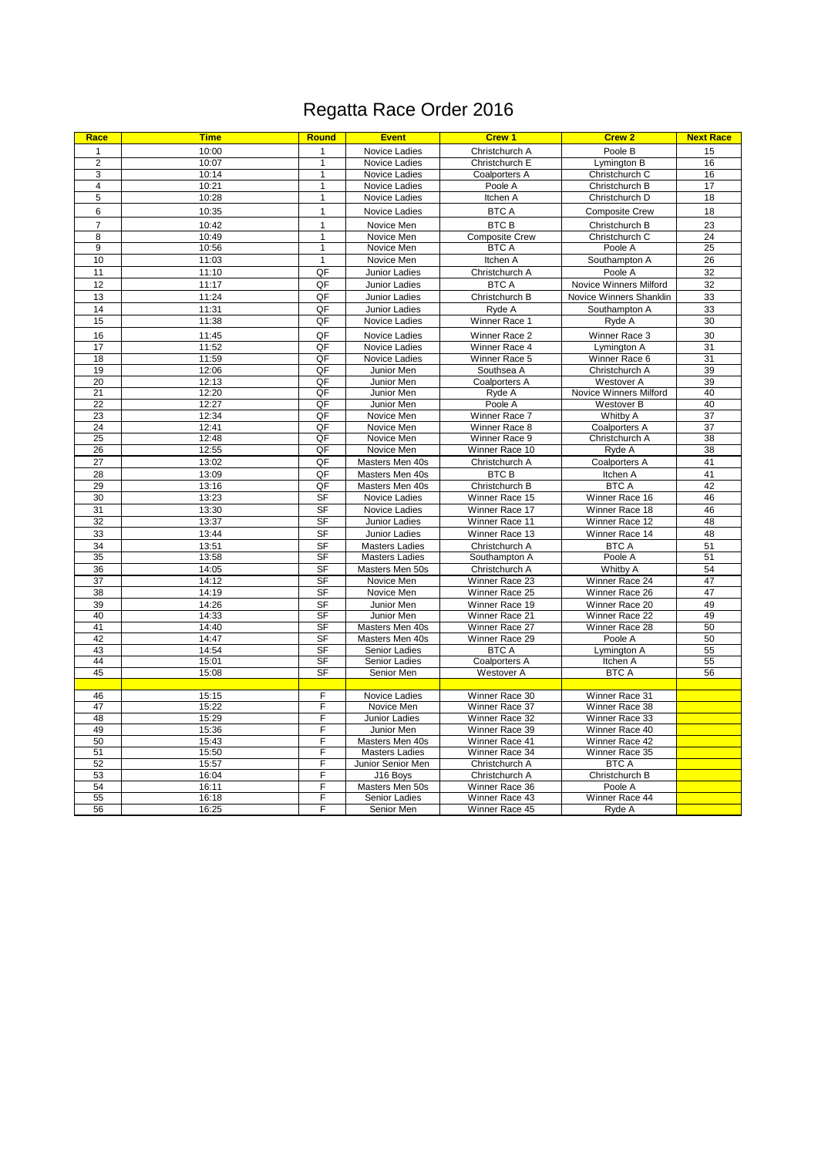# Regatta Race Order 2016

| Race                               | <b>Time</b>    | <b>Round</b>    | <b>Event</b>                             | <b>Crew 1</b>                    | Crew <sub>2</sub>                    | <b>Next Race</b> |
|------------------------------------|----------------|-----------------|------------------------------------------|----------------------------------|--------------------------------------|------------------|
| 1                                  | 10:00          | 1               | Novice Ladies                            | Christchurch A                   | Poole B                              | 15               |
| $\overline{2}$                     | 10:07          | 1               | <b>Novice Ladies</b>                     | Christchurch E                   | Lymington B                          | 16               |
| 3                                  | 10:14          | $\mathbf{1}$    | Novice Ladies                            | Coalporters A                    | Christchurch C                       | 16               |
| 4                                  | 10:21          | $\mathbf{1}$    | Novice Ladies                            | Poole A                          | Christchurch B                       | 17               |
| 5                                  | 10:28          | 1               | Novice Ladies                            | Itchen A                         | Christchurch D                       | 18               |
| 6                                  | 10:35          | 1               | Novice Ladies                            | <b>BTC A</b>                     | <b>Composite Crew</b>                | 18               |
| $\overline{7}$                     | 10:42          | $\mathbf{1}$    | Novice Men                               | <b>BTCB</b>                      | Christchurch B                       | 23               |
| 8                                  | 10:49          | 1               | Novice Men                               | <b>Composite Crew</b>            | Christchurch C                       | 24               |
| 9                                  | 10:56          | $\mathbf{1}$    | Novice Men                               | <b>BTC A</b>                     | Poole A                              | 25               |
| 10                                 | 11:03          | $\overline{1}$  | Novice Men                               | Itchen A                         | Southampton A                        | 26               |
| 11                                 | 11:10          | QF              | Junior Ladies                            | Christchurch A                   | Poole A                              | 32               |
| 12                                 | 11:17          | QF              | <b>Junior Ladies</b>                     | <b>BTC A</b>                     | Novice Winners Milford               | 32               |
| 13                                 | 11:24          | QF              | <b>Junior Ladies</b>                     | Christchurch B                   | Novice Winners Shanklin              | 33               |
| 14                                 | 11:31          | QF              | Junior Ladies                            | Ryde A                           | Southampton A                        | 33               |
| 15                                 | 11:38          | QF              | Novice Ladies                            | Winner Race 1                    | Ryde A                               | 30               |
| 16                                 | 11:45          | QF              | Novice Ladies                            | Winner Race 2                    | Winner Race 3                        | 30               |
| 17                                 | 11:52          | QF              | Novice Ladies                            | Winner Race 4                    | Lymington A                          | 31               |
| 18                                 | 11:59          | QF              | Novice Ladies                            | Winner Race 5                    | Winner Race 6                        | 31               |
| 19                                 | 12:06          | QF              | Junior Men                               | Southsea A                       | Christchurch A                       | 39               |
| 20                                 | 12:13          | QF              | Junior Men                               | Coalporters A                    | Westover A                           | 39               |
| $\overline{21}$<br>$\overline{22}$ | 12:20<br>12:27 | QF<br>QF        | Junior Men<br>Junior Men                 | Ryde A<br>Poole A                | Novice Winners Milford<br>Westover B | 40<br>40         |
| 23                                 | 12:34          | QF              | Novice Men                               | Winner Race 7                    | <b>Whitby A</b>                      | 37               |
| 24                                 | 12:41          | QF              | Novice Men                               | Winner Race 8                    | Coalporters A                        | 37               |
| 25                                 | 12:48          | QF              | Novice Men                               | Winner Race 9                    | Christchurch A                       | 38               |
| 26                                 | 12:55          | QF              | Novice Men                               | Winner Race 10                   | Ryde A                               | 38               |
| 27                                 | 13:02          | QF              | Masters Men 40s                          | Christchurch A                   | Coalporters A                        | 41               |
| 28                                 | 13:09          | QF              | Masters Men 40s                          | <b>BTC B</b>                     | Itchen A                             | 41               |
| 29                                 | 13:16          | QF              | Masters Men 40s                          | Christchurch B                   | <b>BTC A</b>                         | 42               |
| 30                                 | 13:23          | <b>SF</b>       | Novice Ladies                            | Winner Race 15                   | Winner Race 16                       | 46               |
| 31                                 | 13:30          | <b>SF</b>       | Novice Ladies                            | Winner Race 17                   | Winner Race 18                       | 46               |
| 32                                 | 13:37          | <b>SF</b>       | Junior Ladies                            | Winner Race 11                   | Winner Race 12                       | 48               |
| 33                                 | 13:44          | <b>SF</b>       | Junior Ladies                            | Winner Race 13                   | Winner Race 14                       | 48               |
| 34                                 | 13:51          | <b>SF</b>       | <b>Masters Ladies</b>                    | Christchurch A                   | <b>BTC A</b>                         | 51               |
| 35                                 | 13:58          | <b>SF</b>       | <b>Masters Ladies</b>                    | Southampton A                    | Poole A                              | 51               |
| 36                                 | 14:05          | SF              | Masters Men 50s                          | Christchurch A                   | Whitby A                             | 54               |
| 37                                 | 14:12          | SF              | Novice Men                               | Winner Race 23                   | Winner Race 24                       | 47               |
| 38                                 | 14:19          | S <sub>F</sub>  | Novice Men                               | Winner Race 25                   | Winner Race 26                       | 47<br>49         |
| 39<br>40                           | 14:26<br>14:33 | <b>SF</b><br>SF | Junior Men<br>Junior Men                 | Winner Race 19<br>Winner Race 21 | Winner Race 20<br>Winner Race 22     | 49               |
| 41                                 | 14:40          | SF              | Masters Men 40s                          | Winner Race 27                   | Winner Race 28                       | 50               |
| 42                                 | 14:47          | <b>SF</b>       | Masters Men 40s                          | Winner Race 29                   | Poole A                              | 50               |
| 43                                 | 14:54          | SF              | Senior Ladies                            | <b>BTC A</b>                     | Lymington A                          | 55               |
| 44                                 | 15:01          | S <sub>F</sub>  | Senior Ladies                            | Coalporters A                    | Itchen A                             | 55               |
| 45                                 | 15:08          | S <sub>F</sub>  | Senior Men                               | Westover A                       | <b>BTC A</b>                         | 56               |
|                                    |                |                 |                                          |                                  |                                      |                  |
| 46                                 | 15:15          | F               | Novice Ladies                            | Winner Race 30                   | Winner Race 31                       |                  |
| 47                                 | 15:22          | F               | Novice Men                               | Winner Race 37                   | Winner Race 38                       |                  |
| 48                                 | 15:29          | F               | Junior Ladies                            | Winner Race 32                   | Winner Race 33                       |                  |
| 49<br>50                           | 15:36<br>15:43 | F<br>F          | Junior Men                               | Winner Race 39<br>Winner Race 41 | Winner Race 40<br>Winner Race 42     |                  |
| 51                                 | 15:50          | F               | Masters Men 40s<br><b>Masters Ladies</b> | Winner Race 34                   | Winner Race 35                       |                  |
| 52                                 | 15:57          | F               | Junior Senior Men                        | Christchurch A                   | <b>BTC A</b>                         |                  |
| 53                                 | 16:04          | F               | J16 Boys                                 | Christchurch A                   | Christchurch B                       |                  |
| 54                                 | 16:11          | F               | Masters Men 50s                          | Winner Race 36                   | Poole A                              |                  |
| 55                                 | 16:18          | F               | Senior Ladies                            | Winner Race 43                   | Winner Race 44                       |                  |
| 56                                 | 16:25          | F               | Senior Men                               | Winner Race 45                   | Ryde A                               |                  |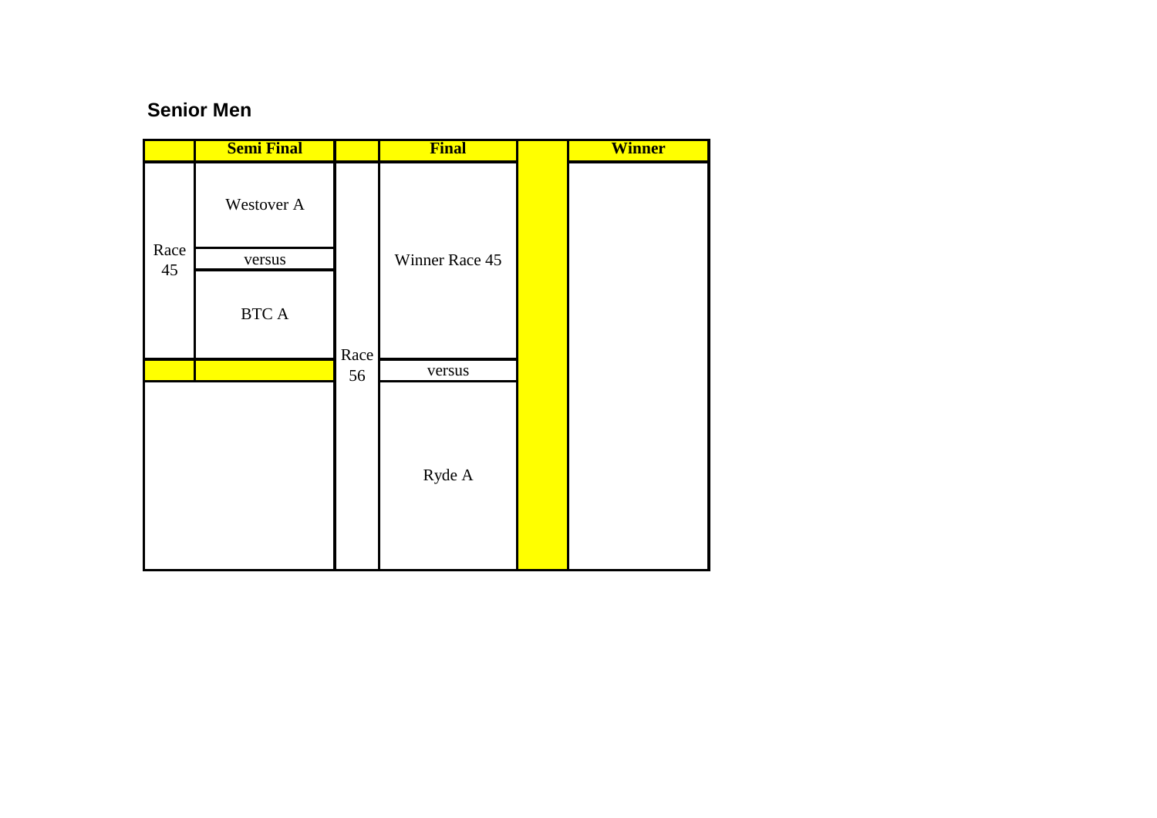### **Senior Men**

|      | <b>Semi Final</b>      |      | <b>Final</b>   | <b>Winner</b> |
|------|------------------------|------|----------------|---------------|
|      | Westover A             |      |                |               |
| Race | versus                 |      | Winner Race 45 |               |
| 45   | $\operatorname{BTC}$ A | Race |                |               |
|      |                        | 56   | versus         |               |
|      |                        |      | Ryde A         |               |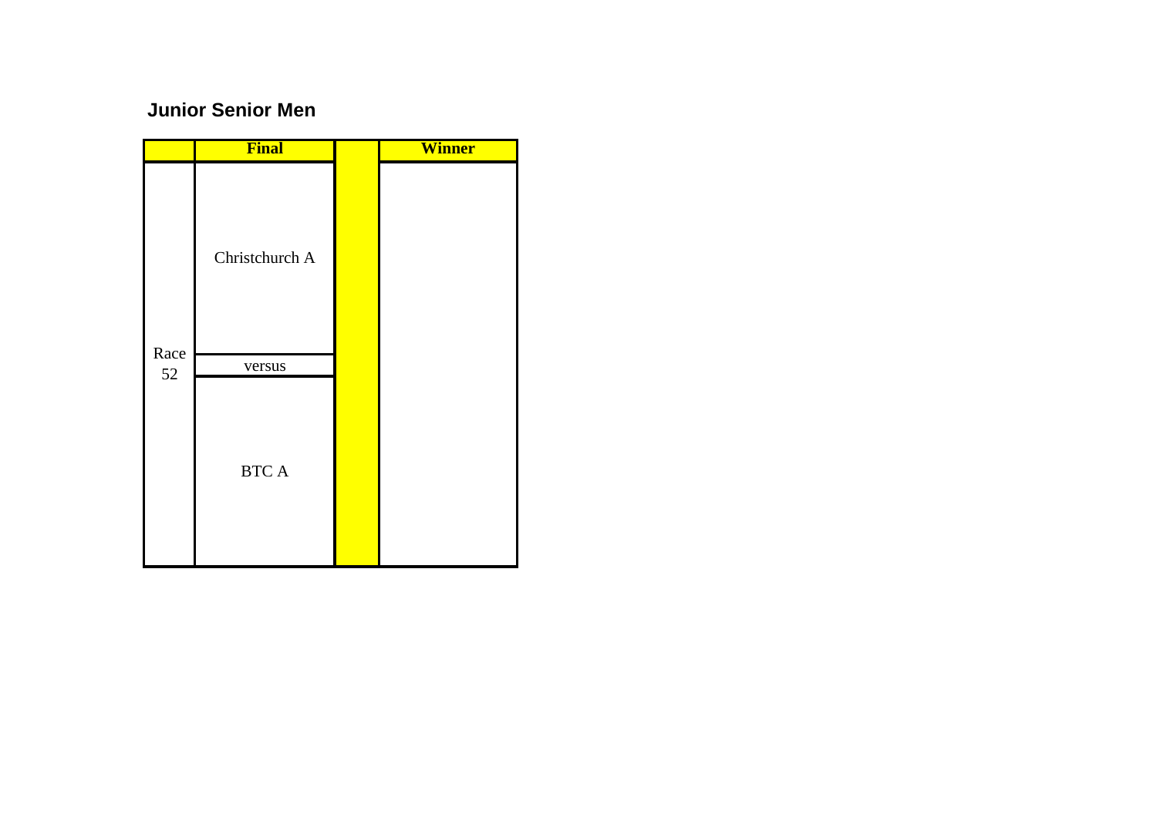## **Junior Senior Men**

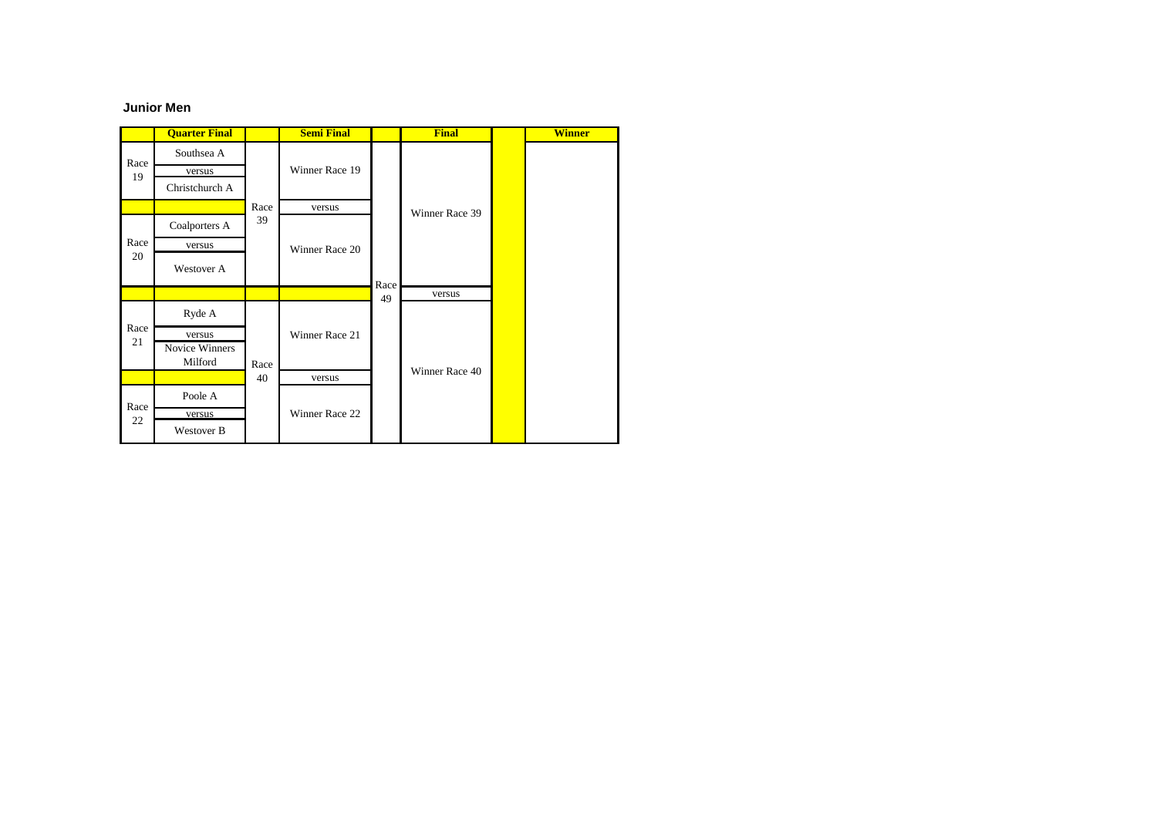#### **Junior Men**

|            | <b>Quarter Final</b> |      | <b>Semi Final</b> |      | <b>Final</b>   | <b>Winner</b> |
|------------|----------------------|------|-------------------|------|----------------|---------------|
| Race       | Southsea A           |      | Winner Race 19    |      |                |               |
| 19         | versus               |      |                   |      |                |               |
|            | Christchurch A       |      |                   |      |                |               |
|            |                      | Race | versus            |      | Winner Race 39 |               |
| Race       | Coalporters A        | 39   |                   |      |                |               |
|            | versus               |      | Winner Race 20    |      |                |               |
| 20         | Westover A           |      |                   |      |                |               |
|            |                      |      |                   |      |                |               |
|            |                      |      |                   | Race | versus         |               |
|            | Ryde A               |      |                   | 49   |                |               |
| Race       | versus               |      | Winner Race 21    |      |                |               |
| 21         | Novice Winners       |      |                   |      |                |               |
|            | Milford              | Race |                   |      |                |               |
|            |                      | 40   | versus            |      | Winner Race 40 |               |
|            | Poole A              |      |                   |      |                |               |
| Race<br>22 | versus               |      | Winner Race 22    |      |                |               |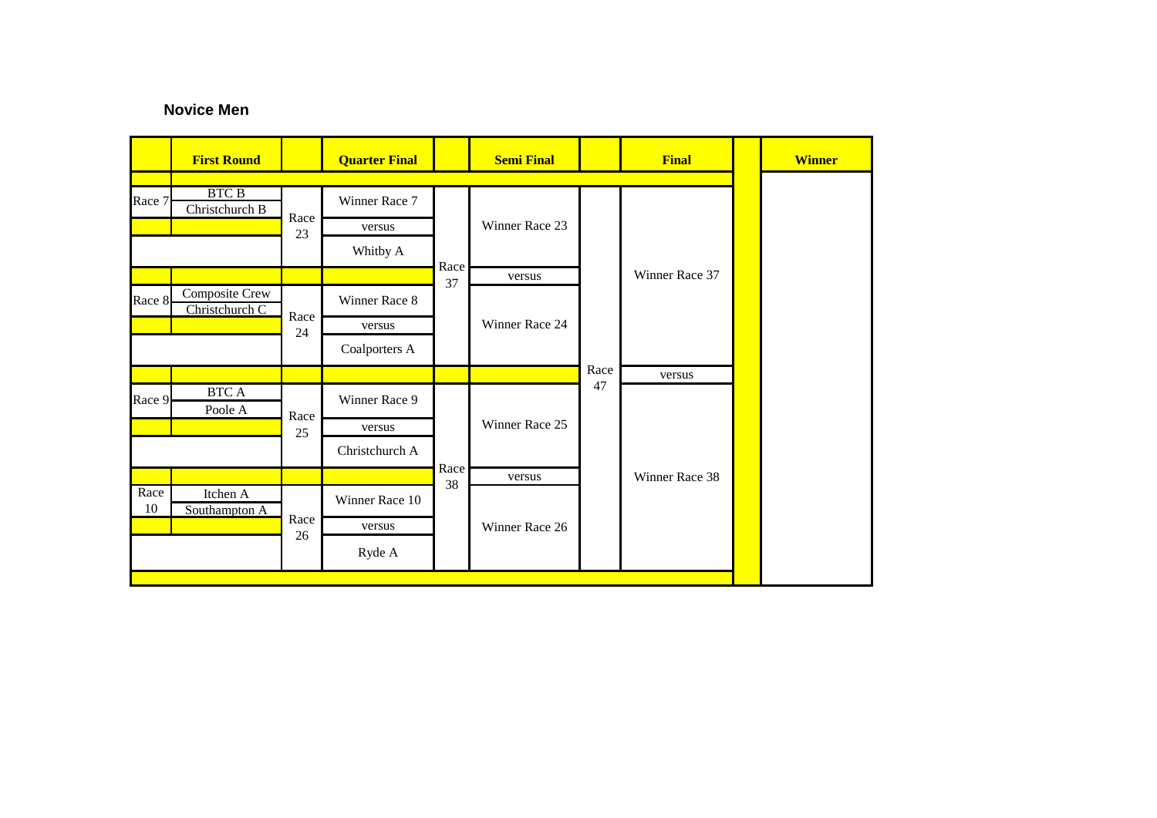### **Novice Men**

|            | <b>First Round</b>               |      | <b>Quarter Final</b> |                      | <b>Semi Final</b> |      | <b>Final</b>   |  | <b>Winner</b> |
|------------|----------------------------------|------|----------------------|----------------------|-------------------|------|----------------|--|---------------|
|            |                                  |      |                      |                      |                   |      |                |  |               |
| Race 7     | <b>BTC B</b><br>Christchurch B   | Race | Winner Race 7        |                      |                   |      |                |  |               |
|            |                                  |      | versus               |                      | Winner Race 23    |      |                |  |               |
|            |                                  | 23   | Whitby A             |                      |                   |      |                |  |               |
|            |                                  |      |                      | Race                 | versus            |      | Winner Race 37 |  |               |
| Race 8     | Composite Crew<br>Christchurch C | Race | Winner Race 8        | 37<br>Winner Race 24 |                   |      |                |  |               |
|            |                                  |      | versus               |                      |                   |      |                |  |               |
|            |                                  | 24   |                      |                      |                   |      |                |  |               |
|            |                                  |      | Coalporters A        |                      |                   |      |                |  |               |
|            |                                  |      |                      |                      |                   | Race | versus         |  |               |
| Race 9     | <b>BTCA</b><br>Poole A           | Race | Winner Race 9        |                      |                   | 47   |                |  |               |
|            |                                  | 25   | versus               |                      | Winner Race 25    |      |                |  |               |
|            |                                  |      | Christchurch A       |                      |                   |      |                |  |               |
|            |                                  |      |                      | Race                 | versus            |      | Winner Race 38 |  |               |
| Race<br>10 | Itchen A<br>Southampton A        |      | Winner Race 10       | 38                   |                   |      |                |  |               |
|            |                                  | Race | versus               |                      | Winner Race 26    |      |                |  |               |
|            |                                  | 26   |                      |                      |                   |      |                |  |               |
|            |                                  |      | Ryde A               |                      |                   |      |                |  |               |
|            |                                  |      |                      |                      |                   |      |                |  |               |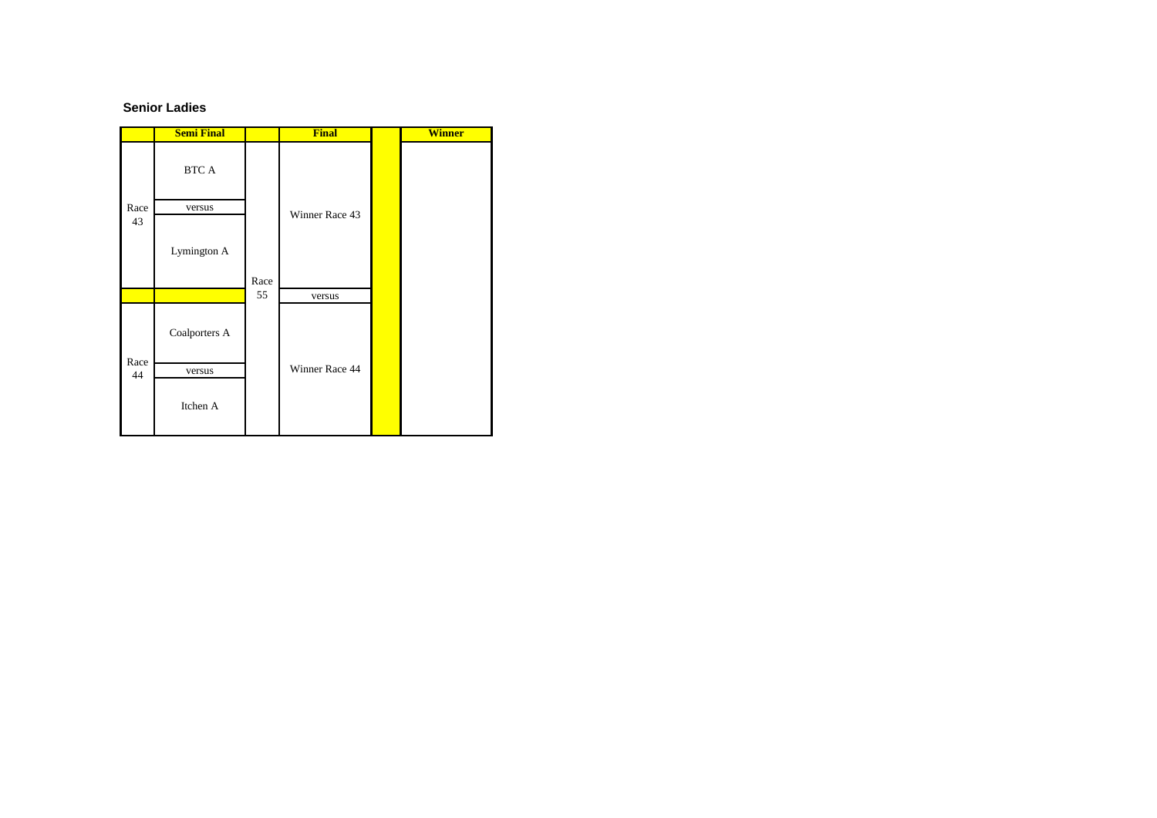#### **Senior Ladies**

|      | <b>Semi Final</b> |      | <b>Final</b>   | <b>Winner</b> |
|------|-------------------|------|----------------|---------------|
|      | <b>BTC A</b>      |      |                |               |
| Race | versus            |      | Winner Race 43 |               |
| 43   | Lymington A       | Race |                |               |
|      |                   | 55   | versus         |               |
| Race | Coalporters A     |      |                |               |
| 44   | versus            |      | Winner Race 44 |               |
|      | Itchen A          |      |                |               |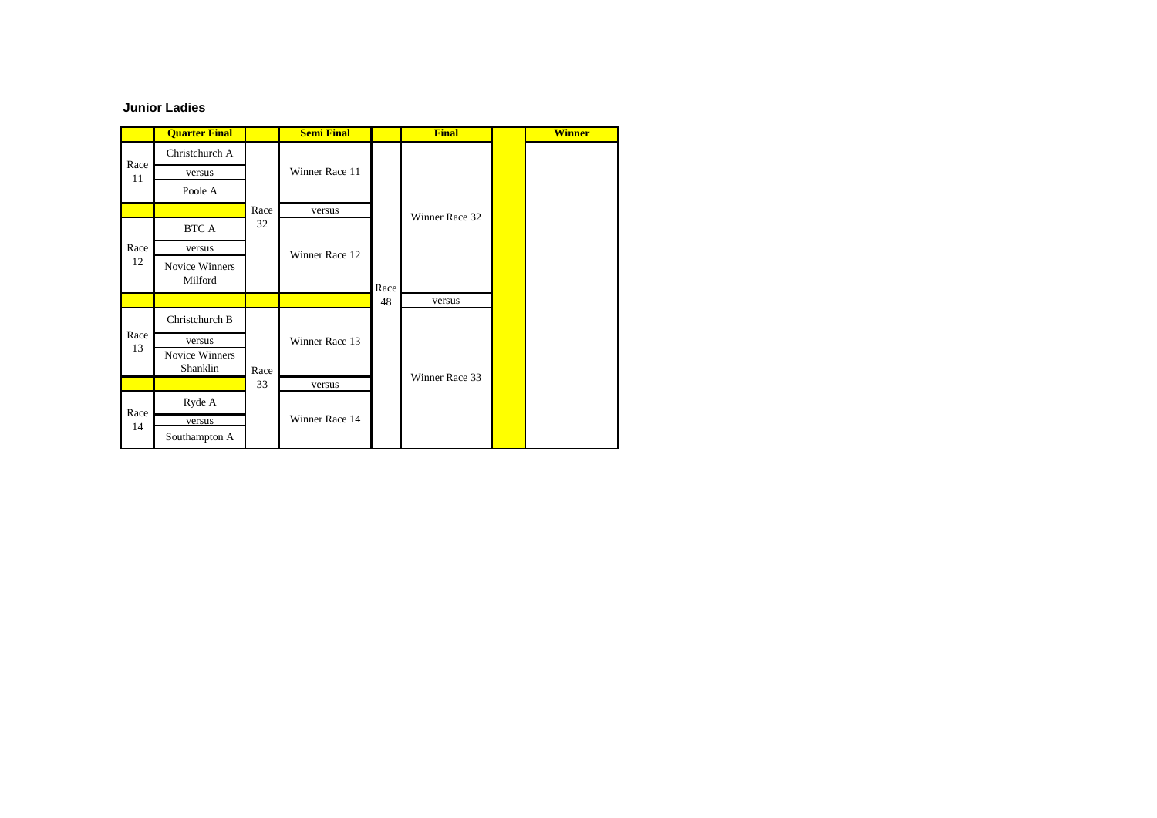#### **Junior Ladies**

|            | <b>Quarter Final</b>      |      | <b>Semi Final</b> |      | <b>Final</b>   | <b>Winner</b> |
|------------|---------------------------|------|-------------------|------|----------------|---------------|
|            | Christchurch A            |      |                   |      |                |               |
| Race<br>11 | versus                    |      | Winner Race 11    |      |                |               |
|            | Poole A                   |      |                   |      |                |               |
|            |                           | Race | versus            |      | Winner Race 32 |               |
|            | BTC A                     | 32   |                   |      |                |               |
| Race       | versus                    |      | Winner Race 12    | Race |                |               |
| 12         | Novice Winners<br>Milford |      |                   |      |                |               |
|            |                           |      |                   | 48   | versus         |               |
|            | Christchurch B            |      |                   |      |                |               |
| Race<br>13 | versus                    |      | Winner Race 13    |      |                |               |
|            | Novice Winners            |      |                   |      |                |               |
|            | Shanklin                  | Race |                   |      | Winner Race 33 |               |
|            |                           | 33   | versus            |      |                |               |
|            | Ryde A                    |      |                   |      |                |               |
|            |                           |      |                   |      |                |               |
| Race<br>14 | versus                    |      | Winner Race 14    |      |                |               |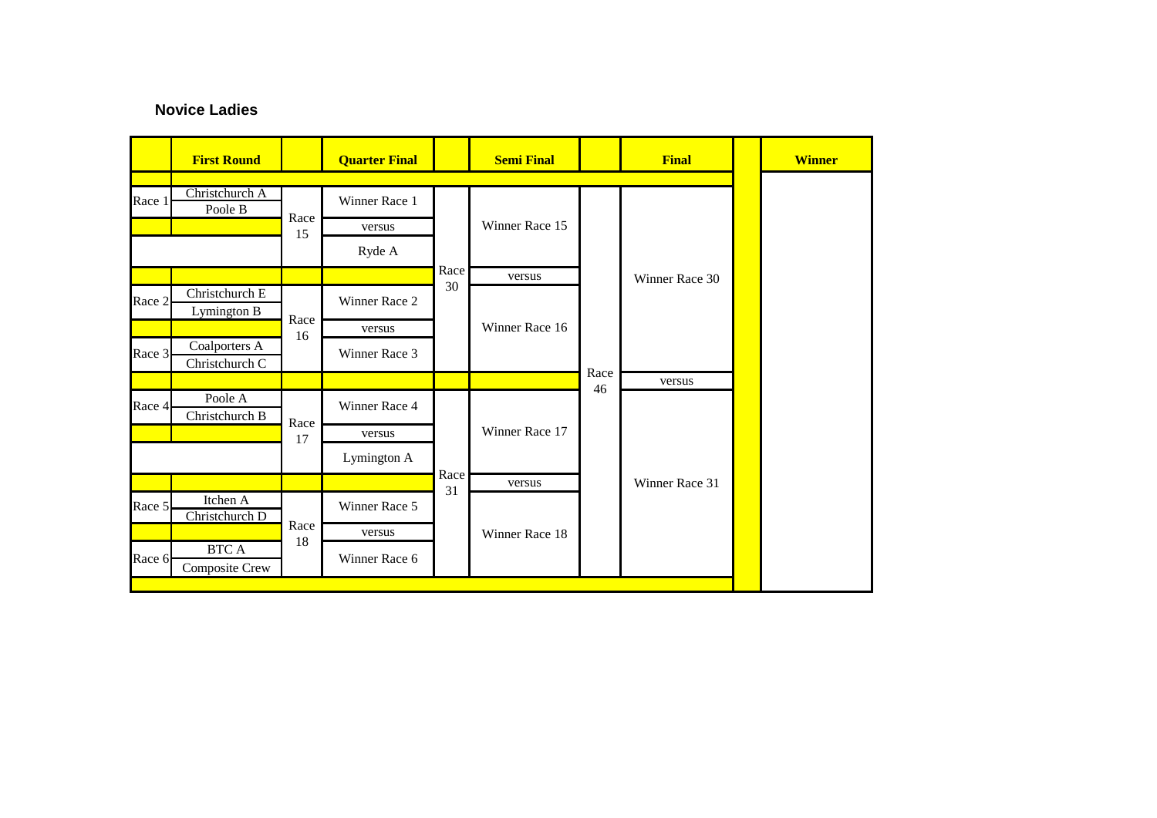### **Novice Ladies**

|        | <b>First Round</b>            |      | <b>Quarter Final</b> |      | <b>Semi Final</b> |      | <b>Final</b>   |  | <b>Winner</b> |
|--------|-------------------------------|------|----------------------|------|-------------------|------|----------------|--|---------------|
|        |                               |      |                      |      |                   |      |                |  |               |
| Race 1 | Christchurch A<br>Poole B     | Race | Winner Race 1        |      |                   |      |                |  |               |
|        |                               |      | versus               |      | Winner Race 15    |      |                |  |               |
|        |                               | 15   | Ryde A               |      |                   |      |                |  |               |
|        |                               |      |                      | Race | versus            |      | Winner Race 30 |  |               |
| Race 2 | Christchurch E<br>Lymington B |      | Winner Race 2        | 30   | Winner Race 16    |      |                |  |               |
|        |                               | Race | versus               |      |                   |      |                |  |               |
|        | Coalporters A                 | 16   |                      |      |                   |      |                |  |               |
| Race 3 | Christchurch C                |      | Winner Race 3        |      |                   |      |                |  |               |
|        |                               |      |                      |      |                   | Race | versus         |  |               |
| Race 4 | Poole A                       |      | Winner Race 4        |      |                   | 46   |                |  |               |
|        | Christchurch B                | Race |                      |      | Winner Race 17    |      |                |  |               |
|        |                               | 17   | versus               |      |                   |      |                |  |               |
|        |                               |      | Lymington A          |      |                   |      |                |  |               |
|        |                               |      |                      | Race | versus            |      | Winner Race 31 |  |               |
| Race 5 | Itchen A<br>Christchurch D    |      | Winner Race 5        |      | 31                |      |                |  |               |
|        |                               | Race | versus               |      | Winner Race 18    |      |                |  |               |
| Race 6 | <b>BTCA</b><br>Composite Crew | 18   | Winner Race 6        |      |                   |      |                |  |               |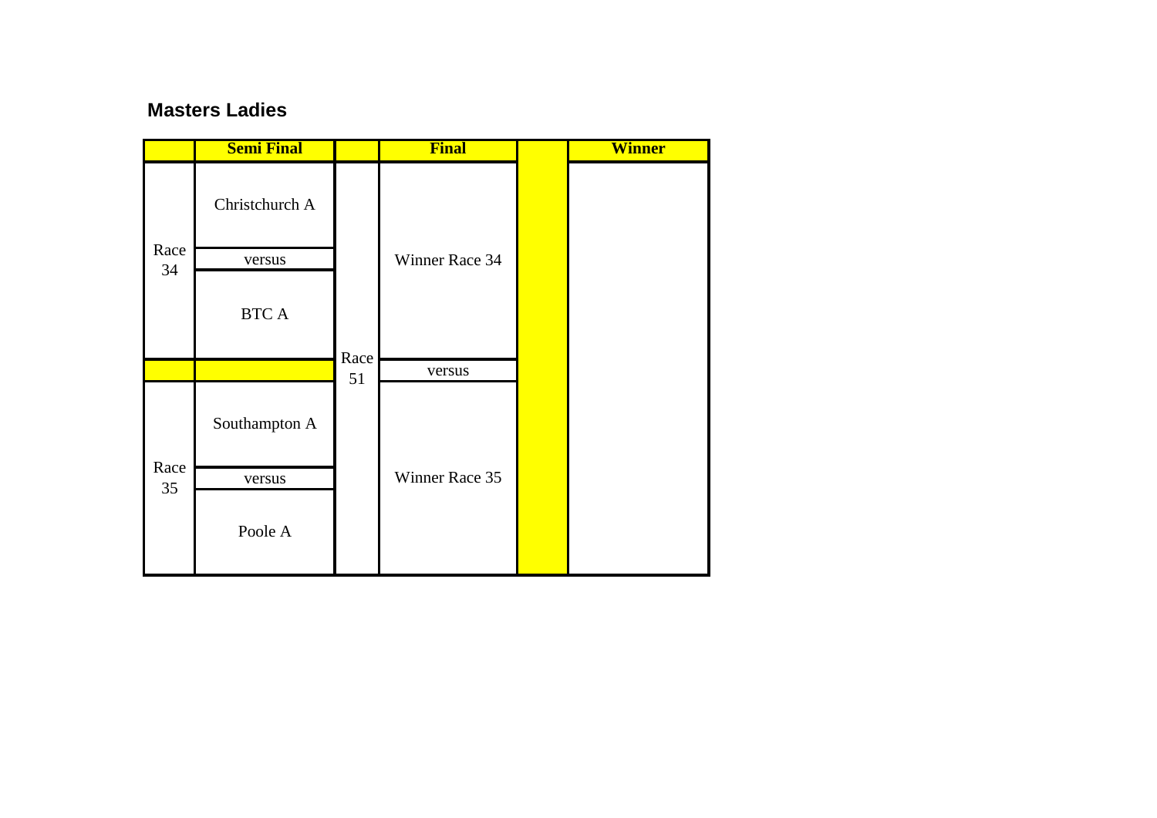### **Masters Ladies**

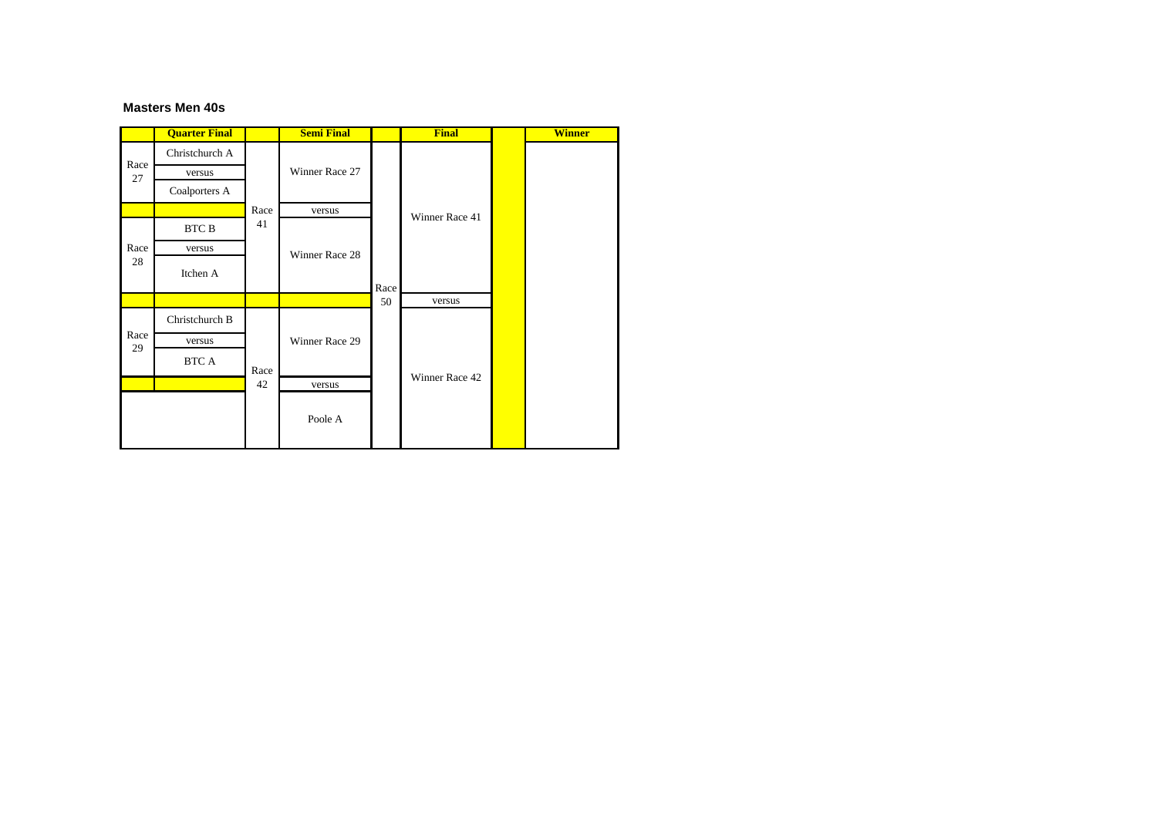#### **Masters Men 40s**

|            | <b>Quarter Final</b> |      | <b>Semi Final</b> |            | <b>Final</b>   | <b>Winner</b> |
|------------|----------------------|------|-------------------|------------|----------------|---------------|
| Race<br>27 | Christchurch A       |      |                   |            |                |               |
|            | versus               |      | Winner Race 27    |            |                |               |
|            | Coalporters A        |      |                   |            |                |               |
|            |                      | Race | versus            |            | Winner Race 41 |               |
| Race       | BTC B                | 41   |                   |            |                |               |
|            | versus               |      | Winner Race 28    | Race<br>50 |                |               |
| 28         | Itchen A             |      |                   |            |                |               |
|            |                      |      |                   |            | versus         |               |
|            | Christchurch B       |      |                   |            |                |               |
| Race<br>29 | versus               |      | Winner Race 29    |            |                |               |
|            | BTC A                | Race |                   |            |                |               |
|            |                      | 42   | versus            |            | Winner Race 42 |               |
|            |                      |      | Poole A           |            |                |               |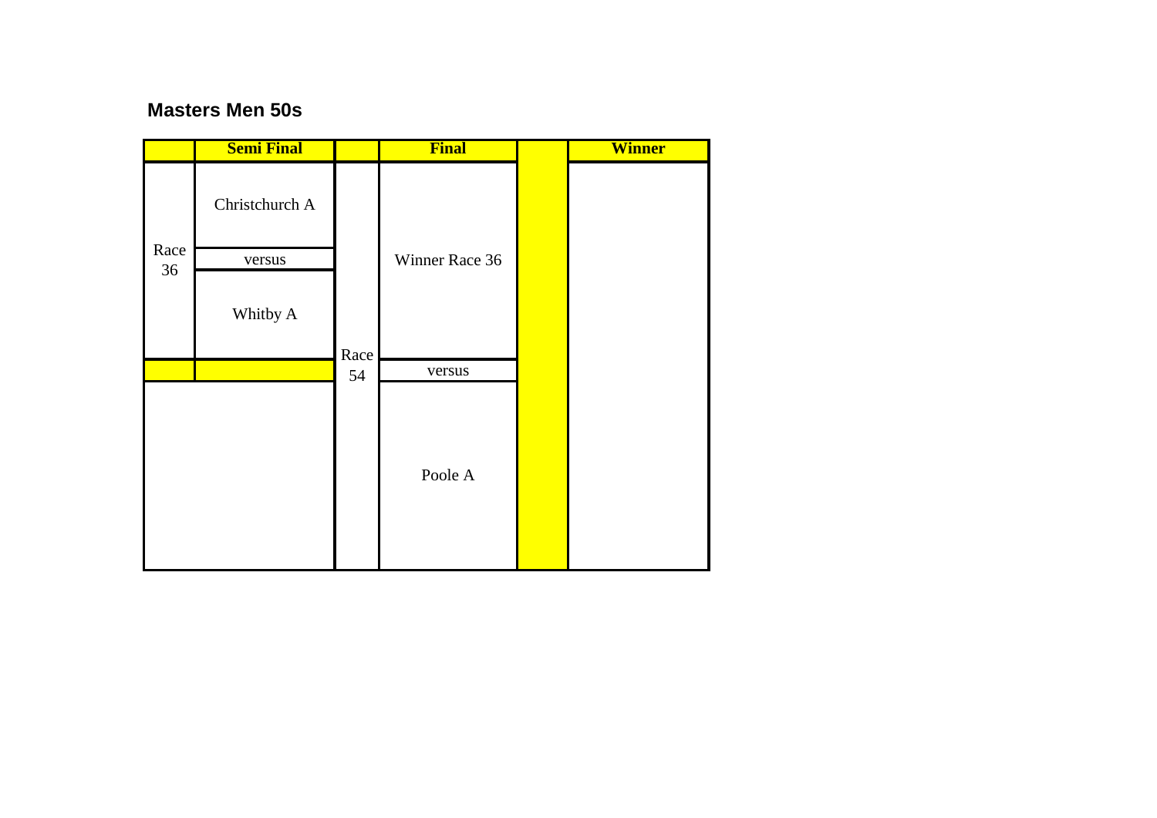### **Masters Men 50s**